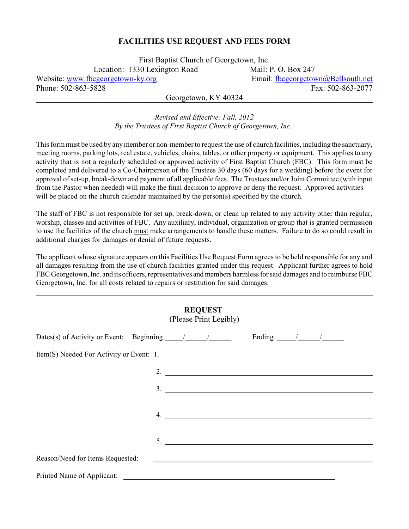## **FACILITIES USE REQUEST AND FEES FORM**

First Baptist Church of Georgetown, Inc.

Location: 1330 Lexington Road Mail: P. O. Box 247 Website: www.fbcgeorgetown-ky.org Email: fbcgeorgetown@Bellsouth.net Phone: 502-863-5828 Fax: 502-863-2077

Georgetown, KY 40324

*Revised and Effective: Fall, 2012 By the Trustees of First Baptist Church of Georgetown, Inc.* 

This form must be used by any member or non-member to request the use of church facilities, including the sanctuary, meeting rooms, parking lots, real estate, vehicles, chairs, tables, or other property or equipment. This applies to any activity that is not a regularly scheduled or approved activity of First Baptist Church (FBC). This form must be completed and delivered to a Co-Chairperson of the Trustees 30 days (60 days for a wedding) before the event for approval of set-up, break-down and payment of all applicable fees. The Trustees and/orJoint Committee (with input from the Pastor when needed) will make the final decision to approve or deny the request. Approved activities will be placed on the church calendar maintained by the person(s) specified by the church.

The staff of FBC is not responsible for set up, break-down, or clean up related to any activity other than regular, worship, classes and activities of FBC. Any auxiliary, individual, organization or group that is granted permission to use the facilities of the church must make arrangements to handle these matters. Failure to do so could result in additional charges for damages or denial of future requests.

The applicant whose signature appears on this Facilities Use Request Form agrees to be held responsible for any and all damages resulting from the use of church facilities granted under this request. Applicant further agrees to hold FBC Georgetown, Inc. and its officers, representatives and members harmless for said damages and to reimburse FBC Georgetown, Inc. for all costs related to repairs or restitution for said damages.

| <b>REQUEST</b><br>(Please Print Legibly)                         |                                                                                                                                                                                                                                                                                                                        |                                                                                             |  |  |  |  |  |  |
|------------------------------------------------------------------|------------------------------------------------------------------------------------------------------------------------------------------------------------------------------------------------------------------------------------------------------------------------------------------------------------------------|---------------------------------------------------------------------------------------------|--|--|--|--|--|--|
| Dates(s) of Activity or Event: Beginning $\frac{1}{\sqrt{2\pi}}$ |                                                                                                                                                                                                                                                                                                                        | Ending $\frac{1}{\sqrt{1-\frac{1}{2}}}\left\vert \frac{1}{\sqrt{1-\frac{1}{2}}}\right\vert$ |  |  |  |  |  |  |
| Item(S) Needed For Activity or Event: 1.                         |                                                                                                                                                                                                                                                                                                                        |                                                                                             |  |  |  |  |  |  |
|                                                                  | 2. $\frac{1}{2}$ $\frac{1}{2}$ $\frac{1}{2}$ $\frac{1}{2}$ $\frac{1}{2}$ $\frac{1}{2}$ $\frac{1}{2}$ $\frac{1}{2}$ $\frac{1}{2}$ $\frac{1}{2}$ $\frac{1}{2}$ $\frac{1}{2}$ $\frac{1}{2}$ $\frac{1}{2}$ $\frac{1}{2}$ $\frac{1}{2}$ $\frac{1}{2}$ $\frac{1}{2}$ $\frac{1}{2}$ $\frac{1}{2}$ $\frac{1}{2}$ $\frac{1}{2}$ |                                                                                             |  |  |  |  |  |  |
|                                                                  | $\overline{\mathbf{3.}}$                                                                                                                                                                                                                                                                                               |                                                                                             |  |  |  |  |  |  |
|                                                                  | 4.                                                                                                                                                                                                                                                                                                                     |                                                                                             |  |  |  |  |  |  |
|                                                                  | 5. $\qquad \qquad$                                                                                                                                                                                                                                                                                                     |                                                                                             |  |  |  |  |  |  |
| Reason/Need for Items Requested:                                 | <u> 1989 - Johann John Stone, markin fan de Fryske kunstne fan de ferstjer fan de ferstjer fan de ferstjer fan de</u>                                                                                                                                                                                                  |                                                                                             |  |  |  |  |  |  |
|                                                                  |                                                                                                                                                                                                                                                                                                                        |                                                                                             |  |  |  |  |  |  |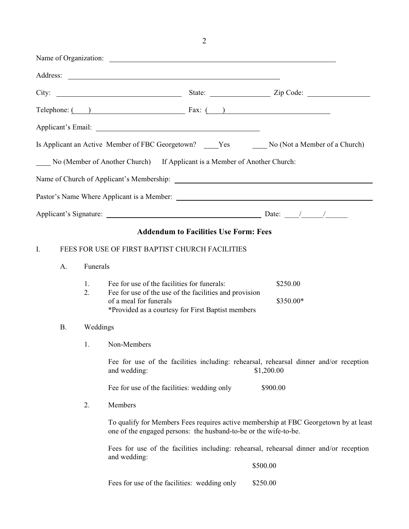|                       |    |                      | $\overline{2}$                                                                                                                                                                                                                       |                       |  |
|-----------------------|----|----------------------|--------------------------------------------------------------------------------------------------------------------------------------------------------------------------------------------------------------------------------------|-----------------------|--|
|                       |    |                      |                                                                                                                                                                                                                                      |                       |  |
|                       |    |                      |                                                                                                                                                                                                                                      |                       |  |
|                       |    |                      |                                                                                                                                                                                                                                      |                       |  |
|                       |    |                      | Telephone: $\overline{ }$ ( ) Fax: $\overline{ }$ ( )                                                                                                                                                                                |                       |  |
|                       |    |                      | Applicant's Email: <u>contract the contract of the contract of the contract of the contract of the contract of the contract of the contract of the contract of the contract of the contract of the contract of the contract of t</u> |                       |  |
|                       |    |                      | Is Applicant an Active Member of FBC Georgetown? _____Yes _________No (Not a Member of a Church)                                                                                                                                     |                       |  |
|                       |    |                      | No (Member of Another Church) If Applicant is a Member of Another Church:                                                                                                                                                            |                       |  |
|                       |    |                      |                                                                                                                                                                                                                                      |                       |  |
|                       |    |                      |                                                                                                                                                                                                                                      |                       |  |
|                       |    |                      |                                                                                                                                                                                                                                      |                       |  |
|                       |    |                      | <b>Addendum to Facilities Use Form: Fees</b>                                                                                                                                                                                         |                       |  |
| I.                    |    |                      | FEES FOR USE OF FIRST BAPTIST CHURCH FACILITIES                                                                                                                                                                                      |                       |  |
|                       | A. | Funerals             |                                                                                                                                                                                                                                      |                       |  |
|                       |    | $\mathbf{1}$ .<br>2. | Fee for use of the facilities for funerals:<br>Fee for use of the use of the facilities and provision<br>of a meal for funerals<br>*Provided as a courtesy for First Baptist members                                                 | \$250.00<br>\$350.00* |  |
| <b>B.</b><br>Weddings |    |                      |                                                                                                                                                                                                                                      |                       |  |
|                       |    | 1.                   | Non-Members                                                                                                                                                                                                                          |                       |  |
|                       |    |                      | Fee for use of the facilities including: rehearsal, rehearsal dinner and/or reception<br>and wedding:                                                                                                                                | \$1,200.00            |  |
|                       |    |                      | Fee for use of the facilities: wedding only                                                                                                                                                                                          | \$900.00              |  |
|                       |    | 2.                   | Members                                                                                                                                                                                                                              |                       |  |
|                       |    |                      | To qualify for Members Fees requires active membership at FBC Georgetown by at least<br>one of the engaged persons: the husband-to-be or the wife-to-be.                                                                             |                       |  |
|                       |    |                      | Fees for use of the facilities including: rehearsal, rehearsal dinner and/or reception<br>and wedding:                                                                                                                               | \$500.00              |  |
|                       |    |                      | Fees for use of the facilities: wedding only                                                                                                                                                                                         | \$250.00              |  |